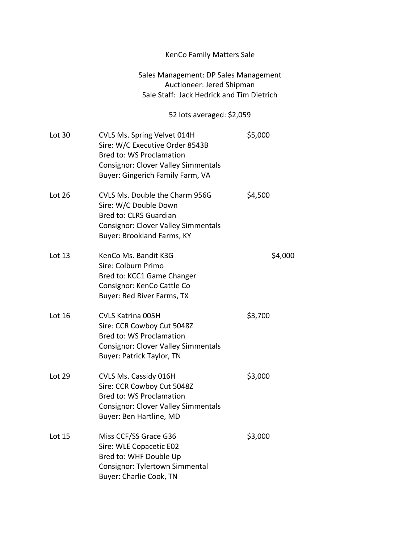## KenCo Family Matters Sale

## Sales Management: DP Sales Management Auctioneer: Jered Shipman Sale Staff: Jack Hedrick and Tim Dietrich

## 52 lots averaged: \$2,059

| Lot 30   | CVLS Ms. Spring Velvet 014H<br>Sire: W/C Executive Order 8543B<br><b>Bred to: WS Proclamation</b><br><b>Consignor: Clover Valley Simmentals</b><br>Buyer: Gingerich Family Farm, VA | \$5,000 |
|----------|-------------------------------------------------------------------------------------------------------------------------------------------------------------------------------------|---------|
| Lot $26$ | CVLS Ms. Double the Charm 956G<br>Sire: W/C Double Down<br><b>Bred to: CLRS Guardian</b><br><b>Consignor: Clover Valley Simmentals</b><br>Buyer: Brookland Farms, KY                | \$4,500 |
| Lot $13$ | KenCo Ms. Bandit K3G<br>Sire: Colburn Primo<br>Bred to: KCC1 Game Changer<br>Consignor: KenCo Cattle Co<br>Buyer: Red River Farms, TX                                               | \$4,000 |
| Lot 16   | <b>CVLS Katrina 005H</b><br>Sire: CCR Cowboy Cut 5048Z<br><b>Bred to: WS Proclamation</b><br><b>Consignor: Clover Valley Simmentals</b><br><b>Buyer: Patrick Taylor, TN</b>         | \$3,700 |
| Lot 29   | CVLS Ms. Cassidy 016H<br>Sire: CCR Cowboy Cut 5048Z<br><b>Bred to: WS Proclamation</b><br><b>Consignor: Clover Valley Simmentals</b><br>Buyer: Ben Hartline, MD                     | \$3,000 |
| Lot 15   | Miss CCF/SS Grace G36<br>Sire: WLE Copacetic E02<br>Bred to: WHF Double Up<br>Consignor: Tylertown Simmental<br><b>Buyer: Charlie Cook, TN</b>                                      | \$3,000 |